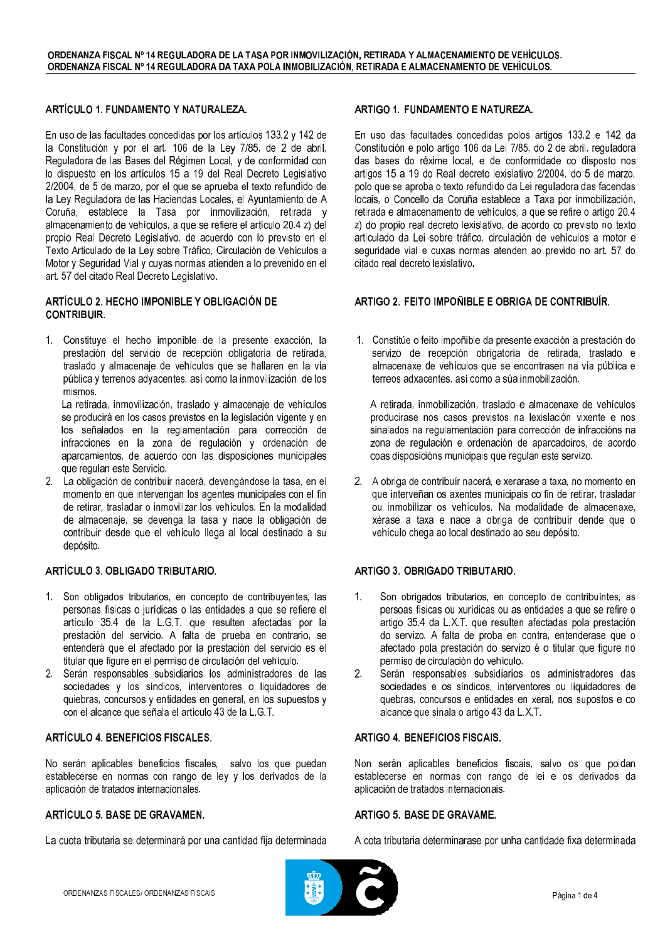## ARTÍCULO 1. FUNDAMENTO Y NATURALEZA.

En uso de las facultades concedidas por los artículos 133.2 y 142 de la Constitución y por el art. 106 de la Ley 7/85, de 2 de abril, Reguladora de las Bases del Régimen Local, y de conformidad con lo dispuesto en los artículos 15 a 19 del Real Decreto Legislativo 2/2004, de 5 de marzo, por el que se aprueba el texto refundido de la Ley Reguladora de las Haciendas Locales, el Ayuntamiento de A Coruña, establece la Tasa por inmovilización, retirada y almacenamiento de vehículos, a que se refiere el artículo 20.4 z) del propio Real Decreto Legislativo, de acuerdo con lo previsto en el Texto Articulado de la Ley sobre Tráfico, Circulación de Vehículos a Motor y Seguridad Vial y cuyas normas atienden a lo prevenido en el art. 57 del citado Real Decreto Legislativo.

#### ARTÍCULO 2. HECHO IMPONIBLE Y OBLIGACIÓN DE **CONTRIBUIR**

1. Constituye el hecho imponible de la presente exacción, la prestación del servicio de recepción obligatoria de retirada, traslado y almacenaje de vehículos que se hallaren en la vía pública y terrenos adyacentes, así como la inmovilización de los mismos.

La retirada, inmovilización, traslado y almacenaje de vehículos se producirá en los casos previstos en la legislación vigente y en los señalados en la reglamentación para corrección de infracciones en la zona de regulación y ordenación de aparcamientos, de acuerdo con las disposiciones municipales que regulan este Servicio.

2. La obligación de contribuir nacerá, devengándose la tasa, en el momento en que intervengan los agentes municipales con el fin de retirar, trasladar o inmovilizar los vehículos. En la modalidad de almacenaje, se devenga la tasa y nace la obligación de contribuir desde que el vehículo llega al local destinado a su depósito.

#### ARTÍCULO 3. OBLIGADO TRIBUTARIO.

- 1. Son obligados tributarios, en concepto de contribuyentes, las personas físicas o jurídicas o las entidades a que se refiere el artículo 35.4 de la L.G.T. que resulten afectadas por la prestación del servicio. A falta de prueba en contrario, se entenderá que el afectado por la prestación del servicio es el titular que figure en el permiso de circulación del vehículo.
- 2. Serán responsables subsidiarios los administradores de las sociedades y los síndicos, interventores o liquidadores de quiebras, concursos y entidades en general, en los supuestos y con el alcance que señala el artículo 43 de la L.G.T.

#### ARTÍCULO 4. BENEFICIOS FISCALES.

No serán aplicables beneficios fiscales, salvo los que puedan establecerse en normas con rango de ley y los derivados de la aplicación de tratados internacionales.

## ARTÍCULO 5. BASE DE GRAVAMEN.

La cuota tributaria se determinará por una cantidad fija determinada

## ARTIGO 1. FUNDAMENTO E NATUREZA.

En uso das facultades concedidas polos artigos 133.2 e 142 da Constitución e polo artigo 106 da Lei 7/85, do 2 de abril, reguladora das bases do réxime local, e de conformidade co disposto nos artigos 15 a 19 do Real decreto lexislativo 2/2004, do 5 de marzo, polo que se aproba o texto refundido da Lei reguladora das facendas locais, o Concello da Coruña establece a Taxa por inmobilización, retirada e almacenamento de vehículos, a que se refire o artigo 20.4 z) do propio real decreto lexislativo, de acordo co previsto no texto articulado da Lei sobre tráfico, circulación de vehículos a motor e seguridade vial e cuxas normas atenden ao prevido no art. 57 do citado real decreto lexislativo.

## ARTIGO 2. FEITO IMPOÑIBLE E OBRIGA DE CONTRIBUÍR.

1. Constitúe o feito impoñible da presente exacción a prestación do servizo de recepción obrigatoria de retirada, traslado e almacenaxe de vehículos que se encontrasen na vía pública e terreos adxacentes, así como a súa inmobilización.

A retirada, inmobilización, traslado e almacenaxe de vehículos producirase nos casos previstos na lexislación vixente e nos sinalados na regulamentación para corrección de infraccións na zona de regulación e ordenación de aparcadoiros, de acordo coas disposicións municipais que regulan este servizo.

2. A obriga de contribuír nacerá, e xerarase a taxa, no momento en que interveñan os axentes municipais co fin de retirar, trasladar ou inmobilizar os vehículos. Na modalidade de almacenaxe, xérase a taxa e nace a obriga de contribuír dende que o vehículo chega ao local destinado ao seu depósito.

#### ARTIGO 3. OBRIGADO TRIBUTARIO.

- Son obrigados tributarios, en concepto de contribuíntes, as  $1<sup>1</sup>$ persoas físicas ou xurídicas ou as entidades a que se refire o artigo 35.4 da L.X.T. que resulten afectadas pola prestación do servizo. A falta de proba en contra, entenderase que o afectado pola prestación do servizo é o titular que figure no permiso de circulación do vehículo.
- $2.$ Serán responsables subsidiarios os administradores das sociedades e os síndicos, interventores ou liquidadores de quebras, concursos e entidades en xeral, nos supostos e co alcance que sinala o artigo 43 da L.X.T.

#### **ARTIGO 4. BENEFICIOS FISCAIS.**

Non serán aplicables beneficios fiscais, salvo os que poidan establecerse en normas con rango de lei e os derivados da aplicación de tratados internacionais.

#### ARTIGO 5. BASE DE GRAVAME.

A cota tributaria determinarase por unha cantidade fixa determinada

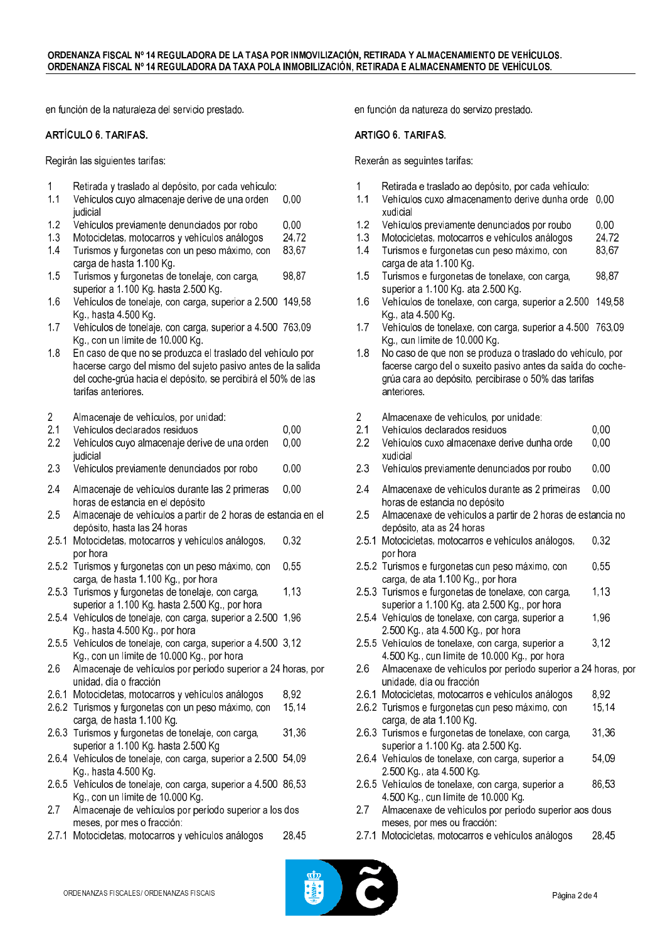en función de la naturaleza del servicio prestado.

#### ARTÍCULO 6. TARIFAS.

Regirán las siguientes tarifas:

|  |  | Retirada y traslado al depósito, por cada vehículo: |
|--|--|-----------------------------------------------------|
|  |  |                                                     |

- Vehículos cuyo almacenaje derive de una orden  $0.00$  $1.1$ judicial
- $1.2$ Vehículos previamente denunciados por robo  $0.00$
- $1.3$ Motocicletas, motocarros y vehículos análogos 24,72
- $1.4$ Turismos y furgonetas con un peso máximo, con 83,67 carga de hasta 1.100 Kg.
- 1.5 Turismos y furgonetas de tonelaje, con carga, 98,87 superior a 1,100 Kg, hasta 2,500 Kg,
- $1.6$ Vehículos de tonelaje, con carga, superior a 2.500 149,58 Kg., hasta 4.500 Kg.
- $17$ Vehículos de tonelaje, con carga, superior a 4.500 763,09 Kg., con un límite de 10.000 Kg.
- $1.8$ En caso de que no se produzca el traslado del vehículo por hacerse cargo del mismo del sujeto pasivo antes de la salida del coche-grúa hacia el depósito, se percibirá el 50% de las tarifas anteriores.
- $\overline{2}$ Almacenaie de vehículos, por unidad:
- $2.1$ Vehículos declarados residuos  $0,00$
- $2.2$ Vehículos cuyo almacenaje derive de una orden  $0.00$ iudicial
- 2.3 Vehículos previamente denunciados por robo  $0.00$
- 24  $0.00$ Almacenaie de vehículos durante las 2 primeras horas de estancia en el depósito
- 2.5 Almacenaje de vehículos a partir de 2 horas de estancia en el depósito, hasta las 24 horas
- 2.5.1 Motocicletas, motocarros y vehículos análogos, 0.32 por hora
- 2.5.2 Turismos y furgonetas con un peso máximo, con  $0.55$ carga, de hasta 1.100 Kg., por hora
- 2.5.3 Turismos y furgonetas de tonelaje, con carga, 1,13 superior a 1.100 Kg. hasta 2.500 Kg., por hora
- 2.5.4 Vehículos de tonelaje, con carga, superior a 2.500 1,96 Kg., hasta 4.500 Kg., por hora
- 2.5.5 Vehículos de tonelaje, con carga, superior a 4.500 3,12 Kg., con un límite de 10.000 Kg., por hora
- 2.6 Almacenaje de vehículos por período superior a 24 horas, por unidad, día o fracción
- 2.6.1 Motocicletas, motocarros y vehículos análogos 8.92
- 2.6.2 Turismos y furgonetas con un peso máximo, con 15,14 carga, de hasta 1.100 Kg.
- 2.6.3 Turismos y furgonetas de tonelaje, con carga, 31,36 superior a 1.100 Kg. hasta 2.500 Kg
- 2.6.4 Vehículos de tonelaje, con carga, superior a 2.500 54,09 Kg., hasta 4.500 Kg.
- 2.6.5 Vehículos de tonelaje, con carga, superior a 4.500 86,53 Kg., con un límite de 10.000 Kg.
- $2.7$ Almacenaje de vehículos por período superior a los dos meses, por mes o fracción:
- 2.7.1 Motocicletas, motocarros y vehículos análogos 28,45

en función da natureza do servizo prestado.

#### **ARTIGO 6. TARIFAS.**

Rexerán as sequintes tarifas:

- $\blacktriangleleft$ Retirada e traslado ao depósito, por cada vehículo:
- Vehículos cuxo almacenamento derive dunha orde 0,00  $1.1$ xudicial
- $1.2$ Vehículos previamente denunciados por roubo  $0.00$
- 24,72  $1.3$ Motocicletas, motocarros e vehículos análogos
- $1.4$ Turismos e furgonetas cun peso máximo, con 83,67 carga de ata 1.100 Kg.
- 1.5 Turismos e furgonetas de tonelaxe, con carga, 98,87 superior a 1.100 Kg. ata 2.500 Kg.
- $1.6$ Vehículos de tonelaxe, con carga, superior a 2.500 149,58 Kg., ata 4.500 Kg.
- $17$ Vehículos de tonelaxe, con carga, superior a 4.500 763,09 Kg., cun límite de 10.000 Kg.
- 18 No caso de que non se produza o traslado do vehículo, por facerse cargo del o suxeito pasivo antes da saída do cochegrúa cara ao depósito, percibirase o 50% das tarifas anteriores.
- $\overline{2}$ Almacenaxe de vehículos, por unidade:
- $2.1$ Vehículos declarados residuos
- $2.2$ Vehículos cuxo almacenaxe derive dunha orde  $0.00$ xudicial
- 2.3 Vehículos previamente denunciados por roubo  $0,00$
- 24  $0.00$ Almacenaxe de vehículos durante as 2 primeiras horas de estancia no depósito
- $2.5$ Almacenaxe de vehículos a partir de 2 horas de estancia no depósito, ata as 24 horas
- 2.5.1 Motocicletas, motocarros e vehículos análogos, 0.32 por hora
- 2.5.2 Turismos e furgonetas cun peso máximo, con  $0.55$ carga, de ata 1.100 Kg., por hora
- 2.5.3 Turismos e furgonetas de tonelaxe, con carga, 1,13 superior a 1.100 Kg. ata 2.500 Kg., por hora
- 2.5.4 Vehículos de tonelaxe, con carga, superior a 1,96 2.500 Kg., ata 4.500 Kg., por hora
- 2.5.5 Vehículos de tonelaxe, con carga, superior a  $3.12$ 4.500 Kg., cun límite de 10.000 Kg., por hora
- $2.6$ Almacenaxe de vehículos por período superior a 24 horas, por unidade, día ou fracción
- 2.6.1 Motocicletas, motocarros e vehículos análogos 8.92
- 2.6.2 Turismos e furgonetas cun peso máximo, con 15,14 carga, de ata 1.100 Kg.
- 2.6.3 Turismos e furgonetas de tonelaxe, con carga, 31,36 superior a 1.100 Kg. ata 2.500 Kg.
- 2.6.4 Vehículos de tonelaxe, con carga, superior a 54,09 2.500 Kg., ata 4.500 Kg.
- 2.6.5 Vehículos de tonelaxe, con carga, superior a 86.53 4.500 Kg., cun límite de 10.000 Kg.
- Almacenaxe de vehículos por período superior aos dous 2.7 meses, por mes ou fracción:
- 2.7.1 Motocicletas, motocarros e vehículos análogos 28,45



 $0,00$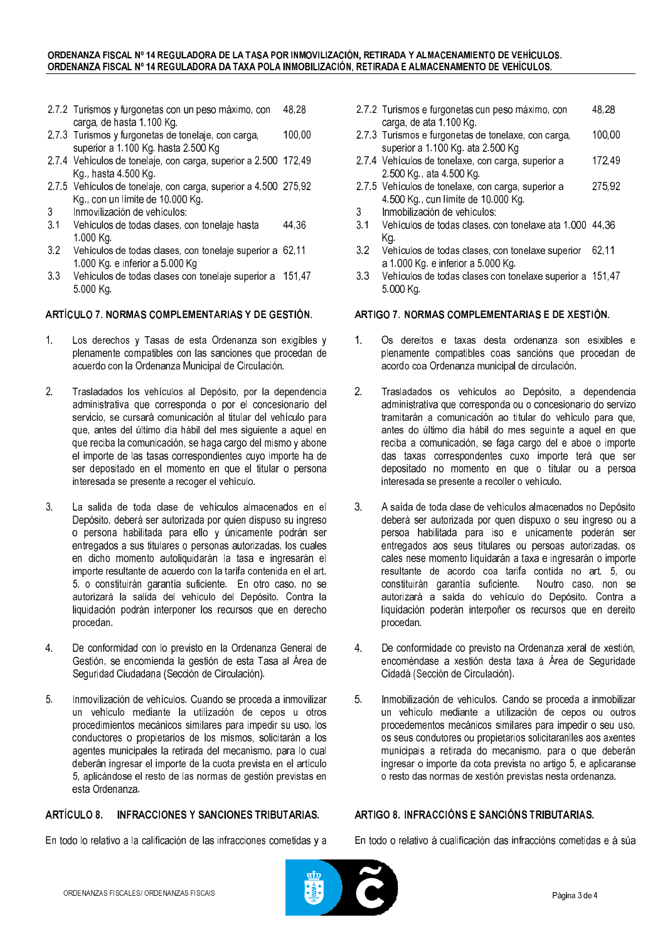#### ORDENANZA FISCAL Nº 14 REGULADORA DE LA TASA POR INMOVILIZACIÓN, RETIRADA Y ALMACENAMIENTO DE VEHÍCULOS. ORDENANZA FISCAL Nº 14 REGULADORA DA TAXA POLA INMOBILIZACIÓN, RETIRADA E ALMACENAMENTO DE VEHÍCULOS.

- 2.7.2 Turismos y furgonetas con un peso máximo, con 48.28 carga, de hasta 1.100 Kg.
- 2.7.3 Turismos y furgonetas de tonelaje, con carga, 100.00 superior a 1.100 Kg. hasta 2.500 Kg
- 2.7.4 Vehículos de tonelaje, con carga, superior a 2.500 172,49 Kg., hasta 4.500 Kg.
- 2.7.5 Vehículos de tonelaje, con carga, superior a 4.500 275,92 Kg., con un límite de 10.000 Kg.
- 3 Inmovilización de vehículos:
- $3.1$ Vehículos de todas clases, con tonelaje hasta 44,36 1.000 Kg.
- Vehículos de todas clases, con tonelaje superior a 62,11  $3.2$ 1.000 Kg. e inferior a 5.000 Kg
- $3.3$ Vehículos de todas clases con tonelaje superior a 151,47 5.000 Kg.

## ARTÍCULO 7. NORMAS COMPLEMENTARIAS Y DE GESTIÓN.

- $\mathbf{1}$ Los derechos y Tasas de esta Ordenanza son exigibles y plenamente compatibles con las sanciones que procedan de acuerdo con la Ordenanza Municipal de Circulación.
- $2.$ Trasladados los vehículos al Depósito, por la dependencia administrativa que corresponda o por el concesionario del servicio, se cursará comunicación al titular del vehículo para que, antes del último día hábil del mes siguiente a aquel en que reciba la comunicación, se haga cargo del mismo y abone el importe de las tasas correspondientes cuyo importe ha de ser depositado en el momento en que el titular o persona interesada se presente a recoger el vehículo.
- $3<sub>1</sub>$ La salida de toda clase de vehículos almacenados en el Depósito, deberá ser autorizada por quien dispuso su ingreso o persona habilitada para ello y únicamente podrán ser entregados a sus titulares o personas autorizadas, los cuales en dicho momento autoliquidarán la tasa e ingresarán el importe resultante de acuerdo con la tarifa contenida en el art. 5, o constituirán garantía suficiente. En otro caso, no se autorizará la salida del vehículo del Depósito. Contra la liquidación podrán interponer los recursos que en derecho procedan.
- $\overline{4}$ . De conformidad con lo previsto en la Ordenanza General de Gestión, se encomienda la gestión de esta Tasa al Área de Seguridad Ciudadana (Sección de Circulación).
- $5.$ Inmovilización de vehículos. Cuando se proceda a inmovilizar un vehículo mediante la utilización de cepos u otros procedimientos mecánicos similares para impedir su uso, los conductores o propietarios de los mismos, solicitarán a los agentes municipales la retirada del mecanismo, para lo cual deberán ingresar el importe de la cuota prevista en el artículo 5, aplicándose el resto de las normas de gestión previstas en esta Ordenanza

## ARTÍCULO 8. INFRACCIONES Y SANCIONES TRIBUTARIAS.

En todo lo relativo a la calificación de las infracciones cometidas y a

- 2.7.2 Turismos e furgonetas cun peso máximo, con 48.28 carga, de ata 1.100 Kg.
- 2.7.3 Turismos e furgonetas de tonelaxe, con carga, 100.00 superior a 1.100 Kg. ata 2.500 Kg
- 2.7.4 Vehículos de tonelaxe, con carga, superior a 172.49 2.500 Kg., ata 4.500 Kg.
- 2.7.5 Vehículos de tonelaxe, con carga, superior a 275,92 4.500 Kg., cun límite de 10.000 Kg.
- $\mathfrak{Z}$ Inmobilización de vehículos:
- Vehículos de todas clases, con tonelaxe ata 1.000 44,36  $3.1$ Kg.
- $3.2$ Vehículos de todas clases, con tonelaxe superior 62,11 a 1.000 Kg. e inferior a 5.000 Kg.
- $3.3$ Vehículos de todas clases con tonelaxe superior a 151,47 5.000 Kg.

#### ARTIGO 7. NORMAS COMPLEMENTARIAS E DE XESTIÓN.

- $1<sub>1</sub>$ Os dereitos e taxas desta ordenanza son esixibles e plenamente compatibles coas sancións que procedan de acordo coa Ordenanza municipal de circulación.
- $2.$ Trasladados os vehículos ao Depósito, a dependencia administrativa que corresponda ou o concesionario do servizo tramitarán a comunicación ao titular do vehículo para que. antes do último día hábil do mes seguinte a aquel en que reciba a comunicación, se faga cargo del e aboe o importe das taxas correspondentes cuxo importe terá que ser depositado no momento en que o titular ou a persoa interesada se presente a recoller o vehículo.
- $3<sub>1</sub>$ A saída de toda clase de vehículos almacenados no Depósito deberá ser autorizada por quen dispuxo o seu ingreso ou a persoa habilitada para iso e unicamente poderán ser entregados aos seus titulares ou persoas autorizadas, os cales nese momento liquidarán a taxa e ingresarán o importe resultante de acordo coa tarifa contida no art. 5, ou constituirán garantía suficiente. Noutro caso, non se autorizará a saída do vehículo do Depósito. Contra a liquidación poderán interpoñer os recursos que en dereito procedan.
- $\overline{4}$ . De conformidade co previsto na Ordenanza xeral de xestión, encoméndase a xestión desta taxa á Área de Seguridade Cidadá (Sección de Circulación).
- $5<sub>1</sub>$ Inmobilización de vehículos. Cando se proceda a inmobilizar un vehículo mediante a utilización de cepos ou outros procedementos mecánicos similares para impedir o seu uso. os seus condutores ou propietarios solicitaranlles aos axentes municipais a retirada do mecanismo, para o que deberán ingresar o importe da cota prevista no artigo 5, e aplicaranse o resto das normas de xestión previstas nesta ordenanza.

## ARTIGO 8. INFRACCIÓNS E SANCIÓNS TRIBUTARIAS.

En todo o relativo á cualificación das infraccións cometidas e á súa